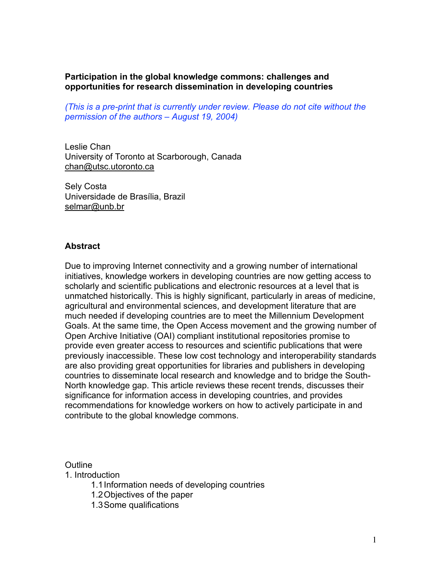#### **Participation in the global knowledge commons: challenges and opportunities for research dissemination in developing countries**

#### *(This is a pre-print that is currently under review. Please do not cite without the permission of the authors – August 19, 2004)*

Leslie Chan University of Toronto at Scarborough, Canada chan@utsc.utoronto.ca

Sely Costa Universidade de Brasília, Brazil selmar@unb.br

#### **Abstract**

Due to improving Internet connectivity and a growing number of international initiatives, knowledge workers in developing countries are now getting access to scholarly and scientific publications and electronic resources at a level that is unmatched historically. This is highly significant, particularly in areas of medicine, agricultural and environmental sciences, and development literature that are much needed if developing countries are to meet the Millennium Development Goals. At the same time, the Open Access movement and the growing number of Open Archive Initiative (OAI) compliant institutional repositories promise to provide even greater access to resources and scientific publications that were previously inaccessible. These low cost technology and interoperability standards are also providing great opportunities for libraries and publishers in developing countries to disseminate local research and knowledge and to bridge the South-North knowledge gap. This article reviews these recent trends, discusses their significance for information access in developing countries, and provides recommendations for knowledge workers on how to actively participate in and contribute to the global knowledge commons.

**Outline** 1. Introduction

1.1Information needs of developing countries

- 1.2Objectives of the paper
- 1.3Some qualifications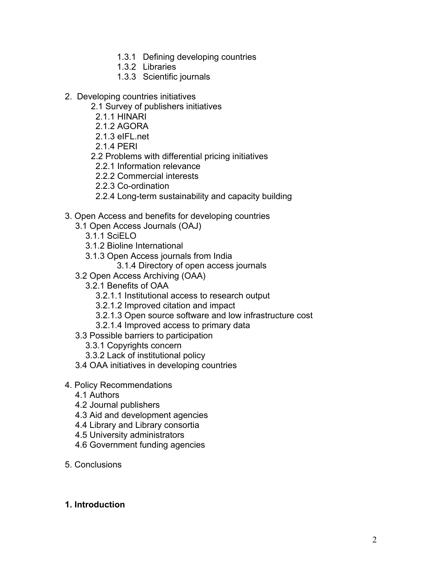- 1.3.1 Defining developing countries
- 1.3.2 Libraries
- 1.3.3 Scientific journals
- 2. Developing countries initiatives
	- 2.1 Survey of publishers initiatives
	- 2.1.1 HINARI
	- 2.1.2 AGORA
	- 2.1.3 eIFL.net
	- 2.1.4 PERI
	- 2.2 Problems with differential pricing initiatives
		- 2.2.1 Information relevance
		- 2.2.2 Commercial interests
	- 2.2.3 Co-ordination
	- 2.2.4 Long-term sustainability and capacity building
- 3. Open Access and benefits for developing countries
	- 3.1 Open Access Journals (OAJ)
		- 3.1.1 SciELO
		- 3.1.2 Bioline International
		- 3.1.3 Open Access journals from India
			- 3.1.4 Directory of open access journals
	- 3.2 Open Access Archiving (OAA)
		- 3.2.1 Benefits of OAA
			- 3.2.1.1 Institutional access to research output
			- 3.2.1.2 Improved citation and impact
			- 3.2.1.3 Open source software and low infrastructure cost
			- 3.2.1.4 Improved access to primary data
	- 3.3 Possible barriers to participation
		- 3.3.1 Copyrights concern
		- 3.3.2 Lack of institutional policy
	- 3.4 OAA initiatives in developing countries
- 4. Policy Recommendations
	- 4.1 Authors
	- 4.2 Journal publishers
	- 4.3 Aid and development agencies
	- 4.4 Library and Library consortia
	- 4.5 University administrators
	- 4.6 Government funding agencies
- 5. Conclusions

#### **1. Introduction**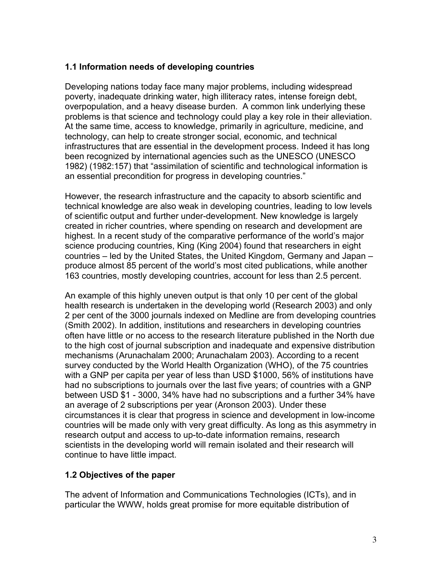### **1.1 Information needs of developing countries**

Developing nations today face many major problems, including widespread poverty, inadequate drinking water, high illiteracy rates, intense foreign debt, overpopulation, and a heavy disease burden. A common link underlying these problems is that science and technology could play a key role in their alleviation. At the same time, access to knowledge, primarily in agriculture, medicine, and technology, can help to create stronger social, economic, and technical infrastructures that are essential in the development process. Indeed it has long been recognized by international agencies such as the UNESCO (UNESCO 1982) (1982:157) that "assimilation of scientific and technological information is an essential precondition for progress in developing countries."

However, the research infrastructure and the capacity to absorb scientific and technical knowledge are also weak in developing countries, leading to low levels of scientific output and further under-development. New knowledge is largely created in richer countries, where spending on research and development are highest. In a recent study of the comparative performance of the world's major science producing countries, King (King 2004) found that researchers in eight countries – led by the United States, the United Kingdom, Germany and Japan – produce almost 85 percent of the world's most cited publications, while another 163 countries, mostly developing countries, account for less than 2.5 percent.

An example of this highly uneven output is that only 10 per cent of the global health research is undertaken in the developing world (Research 2003) and only 2 per cent of the 3000 journals indexed on Medline are from developing countries (Smith 2002). In addition, institutions and researchers in developing countries often have little or no access to the research literature published in the North due to the high cost of journal subscription and inadequate and expensive distribution mechanisms (Arunachalam 2000; Arunachalam 2003). According to a recent survey conducted by the World Health Organization (WHO), of the 75 countries with a GNP per capita per year of less than USD \$1000, 56% of institutions have had no subscriptions to journals over the last five years; of countries with a GNP between USD \$1 - 3000, 34% have had no subscriptions and a further 34% have an average of 2 subscriptions per year (Aronson 2003). Under these circumstances it is clear that progress in science and development in low-income countries will be made only with very great difficulty. As long as this asymmetry in research output and access to up-to-date information remains, research scientists in the developing world will remain isolated and their research will continue to have little impact.

### **1.2 Objectives of the paper**

The advent of Information and Communications Technologies (ICTs), and in particular the WWW, holds great promise for more equitable distribution of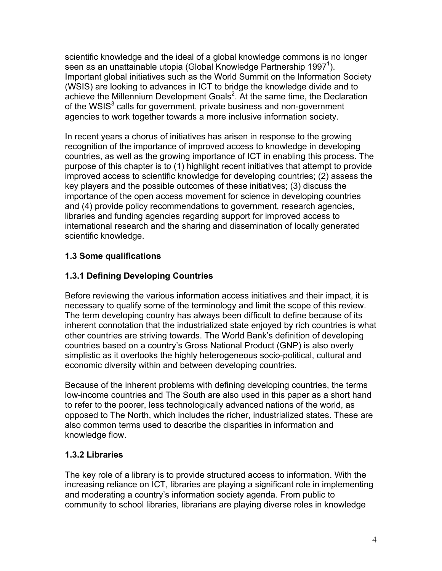scientific knowledge and the ideal of a global knowledge commons is no longer seen as an unattainable utopia (Global Knowledge Partnership 1997<sup>1</sup>). Important global initiatives such as the World Summit on the Information Society (WSIS) are looking to advances in ICT to bridge the knowledge divide and to achieve the Millennium Development Goals<sup>2</sup>. At the same time, the Declaration of the WSIS<sup>3</sup> calls for government, private business and non-government agencies to work together towards a more inclusive information society.

In recent years a chorus of initiatives has arisen in response to the growing recognition of the importance of improved access to knowledge in developing countries, as well as the growing importance of ICT in enabling this process. The purpose of this chapter is to (1) highlight recent initiatives that attempt to provide improved access to scientific knowledge for developing countries; (2) assess the key players and the possible outcomes of these initiatives; (3) discuss the importance of the open access movement for science in developing countries and (4) provide policy recommendations to government, research agencies, libraries and funding agencies regarding support for improved access to international research and the sharing and dissemination of locally generated scientific knowledge.

# **1.3 Some qualifications**

## **1.3.1 Defining Developing Countries**

Before reviewing the various information access initiatives and their impact, it is necessary to qualify some of the terminology and limit the scope of this review. The term developing country has always been difficult to define because of its inherent connotation that the industrialized state enjoyed by rich countries is what other countries are striving towards. The World Bank's definition of developing countries based on a country's Gross National Product (GNP) is also overly simplistic as it overlooks the highly heterogeneous socio-political, cultural and economic diversity within and between developing countries.

Because of the inherent problems with defining developing countries, the terms low-income countries and The South are also used in this paper as a short hand to refer to the poorer, less technologically advanced nations of the world, as opposed to The North, which includes the richer, industrialized states. These are also common terms used to describe the disparities in information and knowledge flow.

### **1.3.2 Libraries**

The key role of a library is to provide structured access to information. With the increasing reliance on ICT, libraries are playing a significant role in implementing and moderating a country's information society agenda. From public to community to school libraries, librarians are playing diverse roles in knowledge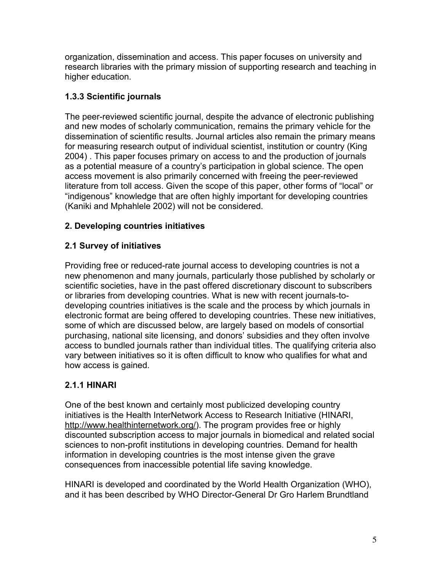organization, dissemination and access. This paper focuses on university and research libraries with the primary mission of supporting research and teaching in higher education.

# **1.3.3 Scientific journals**

The peer-reviewed scientific journal, despite the advance of electronic publishing and new modes of scholarly communication, remains the primary vehicle for the dissemination of scientific results. Journal articles also remain the primary means for measuring research output of individual scientist, institution or country (King 2004) . This paper focuses primary on access to and the production of journals as a potential measure of a country's participation in global science. The open access movement is also primarily concerned with freeing the peer-reviewed literature from toll access. Given the scope of this paper, other forms of "local" or "indigenous" knowledge that are often highly important for developing countries (Kaniki and Mphahlele 2002) will not be considered.

# **2. Developing countries initiatives**

# **2.1 Survey of initiatives**

Providing free or reduced-rate journal access to developing countries is not a new phenomenon and many journals, particularly those published by scholarly or scientific societies, have in the past offered discretionary discount to subscribers or libraries from developing countries. What is new with recent journals-todeveloping countries initiatives is the scale and the process by which journals in electronic format are being offered to developing countries. These new initiatives, some of which are discussed below, are largely based on models of consortial purchasing, national site licensing, and donors' subsidies and they often involve access to bundled journals rather than individual titles. The qualifying criteria also vary between initiatives so it is often difficult to know who qualifies for what and how access is gained.

# **2.1.1 HINARI**

One of the best known and certainly most publicized developing country initiatives is the Health InterNetwork Access to Research Initiative (HINARI, http://www.healthinternetwork.org/). The program provides free or highly discounted subscription access to major journals in biomedical and related social sciences to non-profit institutions in developing countries. Demand for health information in developing countries is the most intense given the grave consequences from inaccessible potential life saving knowledge.

HINARI is developed and coordinated by the World Health Organization (WHO), and it has been described by WHO Director-General Dr Gro Harlem Brundtland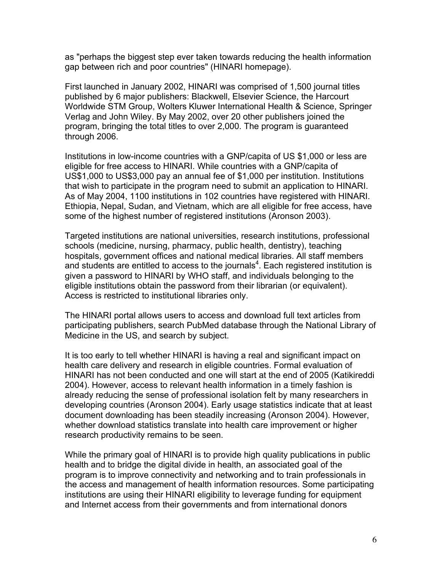as "perhaps the biggest step ever taken towards reducing the health information gap between rich and poor countries" (HINARI homepage).

First launched in January 2002, HINARI was comprised of 1,500 journal titles published by 6 major publishers: Blackwell, Elsevier Science, the Harcourt Worldwide STM Group, Wolters Kluwer International Health & Science, Springer Verlag and John Wiley. By May 2002, over 20 other publishers joined the program, bringing the total titles to over 2,000. The program is guaranteed through 2006.

Institutions in low-income countries with a GNP/capita of US \$1,000 or less are eligible for free access to HINARI. While countries with a GNP/capita of US\$1,000 to US\$3,000 pay an annual fee of \$1,000 per institution. Institutions that wish to participate in the program need to submit an application to HINARI. As of May 2004, 1100 institutions in 102 countries have registered with HINARI. Ethiopia, Nepal, Sudan, and Vietnam, which are all eligible for free access, have some of the highest number of registered institutions (Aronson 2003).

Targeted institutions are national universities, research institutions, professional schools (medicine, nursing, pharmacy, public health, dentistry), teaching hospitals, government offices and national medical libraries. All staff members and students are entitled to access to the journals<sup>4</sup>. Each registered institution is given a password to HINARI by WHO staff, and individuals belonging to the eligible institutions obtain the password from their librarian (or equivalent). Access is restricted to institutional libraries only.

The HINARI portal allows users to access and download full text articles from participating publishers, search PubMed database through the National Library of Medicine in the US, and search by subject.

It is too early to tell whether HINARI is having a real and significant impact on health care delivery and research in eligible countries. Formal evaluation of HINARI has not been conducted and one will start at the end of 2005 (Katikireddi 2004). However, access to relevant health information in a timely fashion is already reducing the sense of professional isolation felt by many researchers in developing countries (Aronson 2004). Early usage statistics indicate that at least document downloading has been steadily increasing (Aronson 2004). However, whether download statistics translate into health care improvement or higher research productivity remains to be seen.

While the primary goal of HINARI is to provide high quality publications in public health and to bridge the digital divide in health, an associated goal of the program is to improve connectivity and networking and to train professionals in the access and management of health information resources. Some participating institutions are using their HINARI eligibility to leverage funding for equipment and Internet access from their governments and from international donors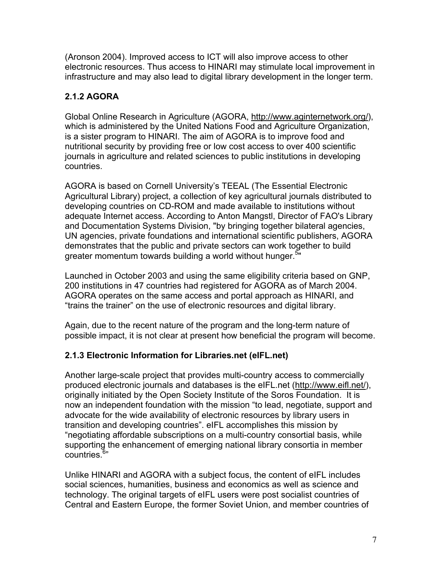(Aronson 2004). Improved access to ICT will also improve access to other electronic resources. Thus access to HINARI may stimulate local improvement in infrastructure and may also lead to digital library development in the longer term.

# **2.1.2 AGORA**

Global Online Research in Agriculture (AGORA, http://www.aginternetwork.org/), which is administered by the United Nations Food and Agriculture Organization, is a sister program to HINARI. The aim of AGORA is to improve food and nutritional security by providing free or low cost access to over 400 scientific journals in agriculture and related sciences to public institutions in developing countries.

AGORA is based on Cornell University's TEEAL (The Essential Electronic Agricultural Library) project, a collection of key agricultural journals distributed to developing countries on CD-ROM and made available to institutions without adequate Internet access. According to Anton Mangstl, Director of FAO's Library and Documentation Systems Division, "by bringing together bilateral agencies, UN agencies, private foundations and international scientific publishers, AGORA demonstrates that the public and private sectors can work together to build greater momentum towards building a world without hunger.<sup>5</sup>"

Launched in October 2003 and using the same eligibility criteria based on GNP, 200 institutions in 47 countries had registered for AGORA as of March 2004. AGORA operates on the same access and portal approach as HINARI, and "trains the trainer" on the use of electronic resources and digital library.

Again, due to the recent nature of the program and the long-term nature of possible impact, it is not clear at present how beneficial the program will become.

# **2.1.3 Electronic Information for Libraries.net (eIFL.net)**

Another large-scale project that provides multi-country access to commercially produced electronic journals and databases is the eIFL.net (http://www.eifl.net/), originally initiated by the Open Society Institute of the Soros Foundation. It is now an independent foundation with the mission "to lead, negotiate, support and advocate for the wide availability of electronic resources by library users in transition and developing countries". eIFL accomplishes this mission by "negotiating affordable subscriptions on a multi-country consortial basis, while supporting the enhancement of emerging national library consortia in member countries.<sup>6</sup>"

Unlike HINARI and AGORA with a subject focus, the content of eIFL includes social sciences, humanities, business and economics as well as science and technology. The original targets of eIFL users were post socialist countries of Central and Eastern Europe, the former Soviet Union, and member countries of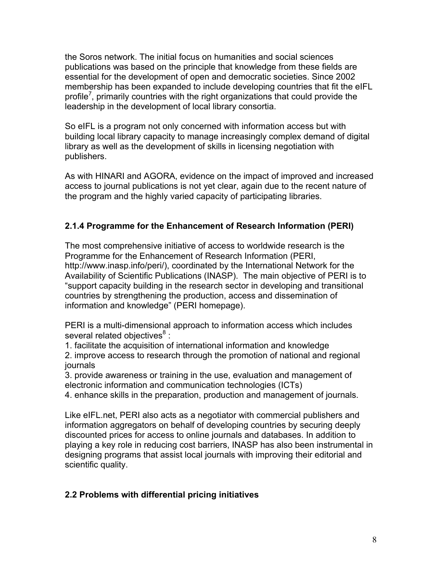the Soros network. The initial focus on humanities and social sciences publications was based on the principle that knowledge from these fields are essential for the development of open and democratic societies. Since 2002 membership has been expanded to include developing countries that fit the eIFL profile<sup>7</sup>, primarily countries with the right organizations that could provide the leadership in the development of local library consortia.

So eIFL is a program not only concerned with information access but with building local library capacity to manage increasingly complex demand of digital library as well as the development of skills in licensing negotiation with publishers.

As with HINARI and AGORA, evidence on the impact of improved and increased access to journal publications is not yet clear, again due to the recent nature of the program and the highly varied capacity of participating libraries.

#### **2.1.4 Programme for the Enhancement of Research Information (PERI)**

The most comprehensive initiative of access to worldwide research is the Programme for the Enhancement of Research Information (PERI, http://www.inasp.info/peri/), coordinated by the International Network for the Availability of Scientific Publications (INASP). The main objective of PERI is to "support capacity building in the research sector in developing and transitional countries by strengthening the production, access and dissemination of information and knowledge" (PERI homepage).

PERI is a multi-dimensional approach to information access which includes several related objectives $^8$  :

1. facilitate the acquisition of international information and knowledge 2. improve access to research through the promotion of national and regional journals

3. provide awareness or training in the use, evaluation and management of electronic information and communication technologies (ICTs)

4. enhance skills in the preparation, production and management of journals.

Like eIFL.net, PERI also acts as a negotiator with commercial publishers and information aggregators on behalf of developing countries by securing deeply discounted prices for access to online journals and databases. In addition to playing a key role in reducing cost barriers, INASP has also been instrumental in designing programs that assist local journals with improving their editorial and scientific quality.

#### **2.2 Problems with differential pricing initiatives**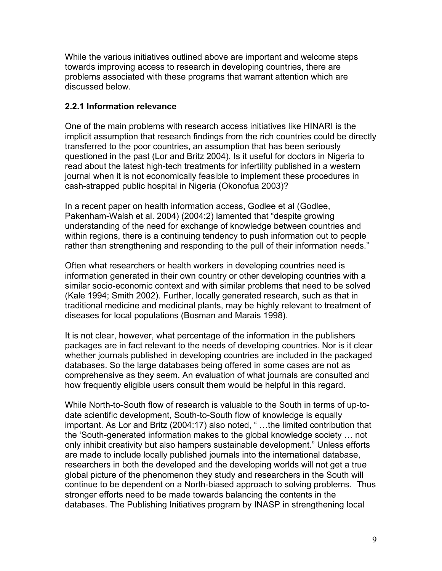While the various initiatives outlined above are important and welcome steps towards improving access to research in developing countries, there are problems associated with these programs that warrant attention which are discussed below.

### **2.2.1 Information relevance**

One of the main problems with research access initiatives like HINARI is the implicit assumption that research findings from the rich countries could be directly transferred to the poor countries, an assumption that has been seriously questioned in the past (Lor and Britz 2004). Is it useful for doctors in Nigeria to read about the latest high-tech treatments for infertility published in a western journal when it is not economically feasible to implement these procedures in cash-strapped public hospital in Nigeria (Okonofua 2003)?

In a recent paper on health information access, Godlee et al (Godlee, Pakenham-Walsh et al. 2004) (2004:2) lamented that "despite growing understanding of the need for exchange of knowledge between countries and within regions, there is a continuing tendency to push information out to people rather than strengthening and responding to the pull of their information needs."

Often what researchers or health workers in developing countries need is information generated in their own country or other developing countries with a similar socio-economic context and with similar problems that need to be solved (Kale 1994; Smith 2002). Further, locally generated research, such as that in traditional medicine and medicinal plants, may be highly relevant to treatment of diseases for local populations (Bosman and Marais 1998).

It is not clear, however, what percentage of the information in the publishers packages are in fact relevant to the needs of developing countries. Nor is it clear whether journals published in developing countries are included in the packaged databases. So the large databases being offered in some cases are not as comprehensive as they seem. An evaluation of what journals are consulted and how frequently eligible users consult them would be helpful in this regard.

While North-to-South flow of research is valuable to the South in terms of up-todate scientific development, South-to-South flow of knowledge is equally important. As Lor and Britz (2004:17) also noted, " …the limited contribution that the 'South-generated information makes to the global knowledge society … not only inhibit creativity but also hampers sustainable development." Unless efforts are made to include locally published journals into the international database, researchers in both the developed and the developing worlds will not get a true global picture of the phenomenon they study and researchers in the South will continue to be dependent on a North-biased approach to solving problems. Thus stronger efforts need to be made towards balancing the contents in the databases. The Publishing Initiatives program by INASP in strengthening local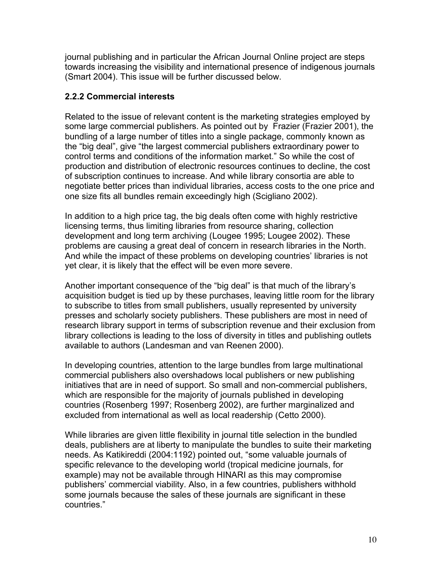journal publishing and in particular the African Journal Online project are steps towards increasing the visibility and international presence of indigenous journals (Smart 2004). This issue will be further discussed below.

### **2.2.2 Commercial interests**

Related to the issue of relevant content is the marketing strategies employed by some large commercial publishers. As pointed out by Frazier (Frazier 2001), the bundling of a large number of titles into a single package, commonly known as the "big deal", give "the largest commercial publishers extraordinary power to control terms and conditions of the information market." So while the cost of production and distribution of electronic resources continues to decline, the cost of subscription continues to increase. And while library consortia are able to negotiate better prices than individual libraries, access costs to the one price and one size fits all bundles remain exceedingly high (Scigliano 2002).

In addition to a high price tag, the big deals often come with highly restrictive licensing terms, thus limiting libraries from resource sharing, collection development and long term archiving (Lougee 1995; Lougee 2002). These problems are causing a great deal of concern in research libraries in the North. And while the impact of these problems on developing countries' libraries is not yet clear, it is likely that the effect will be even more severe.

Another important consequence of the "big deal" is that much of the library's acquisition budget is tied up by these purchases, leaving little room for the library to subscribe to titles from small publishers, usually represented by university presses and scholarly society publishers. These publishers are most in need of research library support in terms of subscription revenue and their exclusion from library collections is leading to the loss of diversity in titles and publishing outlets available to authors (Landesman and van Reenen 2000).

In developing countries, attention to the large bundles from large multinational commercial publishers also overshadows local publishers or new publishing initiatives that are in need of support. So small and non-commercial publishers, which are responsible for the majority of journals published in developing countries (Rosenberg 1997; Rosenberg 2002), are further marginalized and excluded from international as well as local readership (Cetto 2000).

While libraries are given little flexibility in journal title selection in the bundled deals, publishers are at liberty to manipulate the bundles to suite their marketing needs. As Katikireddi (2004:1192) pointed out, "some valuable journals of specific relevance to the developing world (tropical medicine journals, for example) may not be available through HINARI as this may compromise publishers' commercial viability. Also, in a few countries, publishers withhold some journals because the sales of these journals are significant in these countries."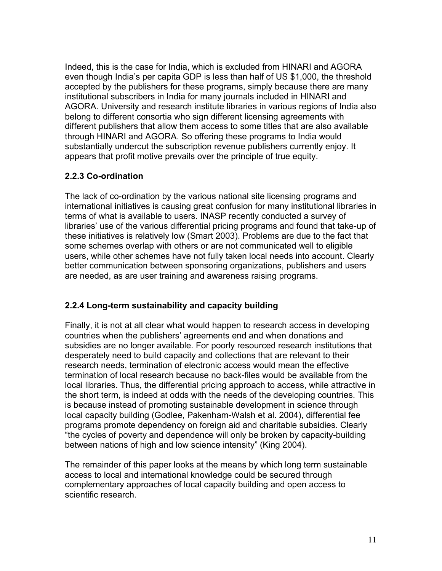Indeed, this is the case for India, which is excluded from HINARI and AGORA even though India's per capita GDP is less than half of US \$1,000, the threshold accepted by the publishers for these programs, simply because there are many institutional subscribers in India for many journals included in HINARI and AGORA. University and research institute libraries in various regions of India also belong to different consortia who sign different licensing agreements with different publishers that allow them access to some titles that are also available through HINARI and AGORA. So offering these programs to India would substantially undercut the subscription revenue publishers currently enjoy. It appears that profit motive prevails over the principle of true equity.

### **2.2.3 Co-ordination**

The lack of co-ordination by the various national site licensing programs and international initiatives is causing great confusion for many institutional libraries in terms of what is available to users. INASP recently conducted a survey of libraries' use of the various differential pricing programs and found that take-up of these initiatives is relatively low (Smart 2003). Problems are due to the fact that some schemes overlap with others or are not communicated well to eligible users, while other schemes have not fully taken local needs into account. Clearly better communication between sponsoring organizations, publishers and users are needed, as are user training and awareness raising programs.

# **2.2.4 Long-term sustainability and capacity building**

Finally, it is not at all clear what would happen to research access in developing countries when the publishers' agreements end and when donations and subsidies are no longer available. For poorly resourced research institutions that desperately need to build capacity and collections that are relevant to their research needs, termination of electronic access would mean the effective termination of local research because no back-files would be available from the local libraries. Thus, the differential pricing approach to access, while attractive in the short term, is indeed at odds with the needs of the developing countries. This is because instead of promoting sustainable development in science through local capacity building (Godlee, Pakenham-Walsh et al. 2004), differential fee programs promote dependency on foreign aid and charitable subsidies. Clearly "the cycles of poverty and dependence will only be broken by capacity-building between nations of high and low science intensity" (King 2004).

The remainder of this paper looks at the means by which long term sustainable access to local and international knowledge could be secured through complementary approaches of local capacity building and open access to scientific research.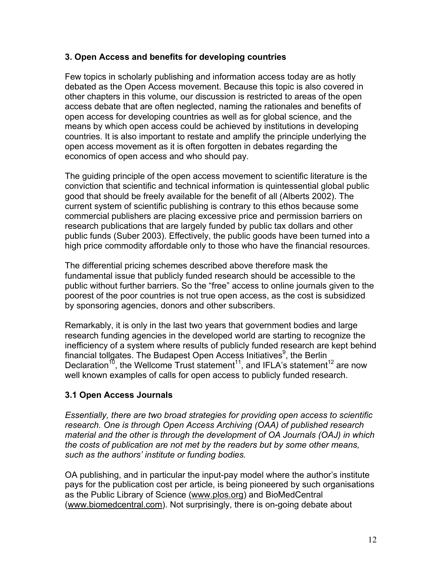### **3. Open Access and benefits for developing countries**

Few topics in scholarly publishing and information access today are as hotly debated as the Open Access movement. Because this topic is also covered in other chapters in this volume, our discussion is restricted to areas of the open access debate that are often neglected, naming the rationales and benefits of open access for developing countries as well as for global science, and the means by which open access could be achieved by institutions in developing countries. It is also important to restate and amplify the principle underlying the open access movement as it is often forgotten in debates regarding the economics of open access and who should pay.

The guiding principle of the open access movement to scientific literature is the conviction that scientific and technical information is quintessential global public good that should be freely available for the benefit of all (Alberts 2002). The current system of scientific publishing is contrary to this ethos because some commercial publishers are placing excessive price and permission barriers on research publications that are largely funded by public tax dollars and other public funds (Suber 2003). Effectively, the public goods have been turned into a high price commodity affordable only to those who have the financial resources.

The differential pricing schemes described above therefore mask the fundamental issue that publicly funded research should be accessible to the public without further barriers. So the "free" access to online journals given to the poorest of the poor countries is not true open access, as the cost is subsidized by sponsoring agencies, donors and other subscribers.

Remarkably, it is only in the last two years that government bodies and large research funding agencies in the developed world are starting to recognize the inefficiency of a system where results of publicly funded research are kept behind financial tollgates. The Budapest Open Access Initiatives<sup>9</sup>, the Berlin Declaration<sup>10</sup>, the Wellcome Trust statement<sup>11</sup>, and IFLA's statement<sup>12</sup> are now well known examples of calls for open access to publicly funded research.

### **3.1 Open Access Journals**

*Essentially, there are two broad strategies for providing open access to scientific research. One is through Open Access Archiving (OAA) of published research material and the other is through the development of OA Journals (OAJ) in which the costs of publication are not met by the readers but by some other means, such as the authors' institute or funding bodies.*

OA publishing, and in particular the input-pay model where the author's institute pays for the publication cost per article, is being pioneered by such organisations as the Public Library of Science (www.plos.org) and BioMedCentral (www.biomedcentral.com). Not surprisingly, there is on-going debate about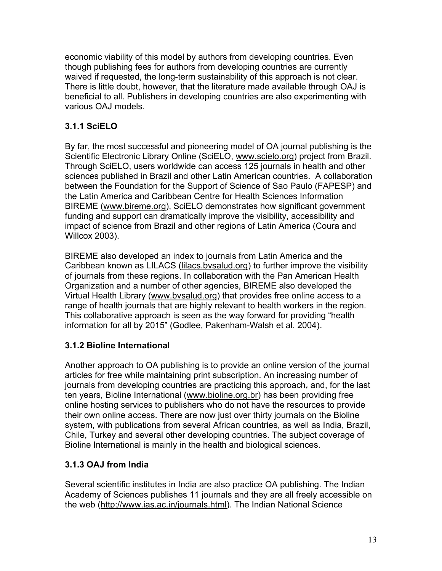economic viability of this model by authors from developing countries. Even though publishing fees for authors from developing countries are currently waived if requested, the long-term sustainability of this approach is not clear. There is little doubt, however, that the literature made available through OAJ is beneficial to all. Publishers in developing countries are also experimenting with various OAJ models.

# **3.1.1 SciELO**

By far, the most successful and pioneering model of OA journal publishing is the Scientific Electronic Library Online (SciELO, www.scielo.org) project from Brazil. Through SciELO, users worldwide can access 125 journals in health and other sciences published in Brazil and other Latin American countries. A collaboration between the Foundation for the Support of Science of Sao Paulo (FAPESP) and the Latin America and Caribbean Centre for Health Sciences Information BIREME (www.bireme.org), SciELO demonstrates how significant government funding and support can dramatically improve the visibility, accessibility and impact of science from Brazil and other regions of Latin America (Coura and Willcox 2003).

BIREME also developed an index to journals from Latin America and the Caribbean known as LILACS (lilacs.bvsalud.org) to further improve the visibility of journals from these regions. In collaboration with the Pan American Health Organization and a number of other agencies, BIREME also developed the Virtual Health Library (www.bvsalud.org) that provides free online access to a range of health journals that are highly relevant to health workers in the region. This collaborative approach is seen as the way forward for providing "health information for all by 2015" (Godlee, Pakenham-Walsh et al. 2004).

# **3.1.2 Bioline International**

Another approach to OA publishing is to provide an online version of the journal articles for free while maintaining print subscription. An increasing number of journals from developing countries are practicing this approach, and, for the last ten years, Bioline International (www.bioline.org.br) has been providing free online hosting services to publishers who do not have the resources to provide their own online access. There are now just over thirty journals on the Bioline system, with publications from several African countries, as well as India, Brazil, Chile, Turkey and several other developing countries. The subject coverage of Bioline International is mainly in the health and biological sciences.

# **3.1.3 OAJ from India**

Several scientific institutes in India are also practice OA publishing. The Indian Academy of Sciences publishes 11 journals and they are all freely accessible on the web (http://www.ias.ac.in/journals.html). The Indian National Science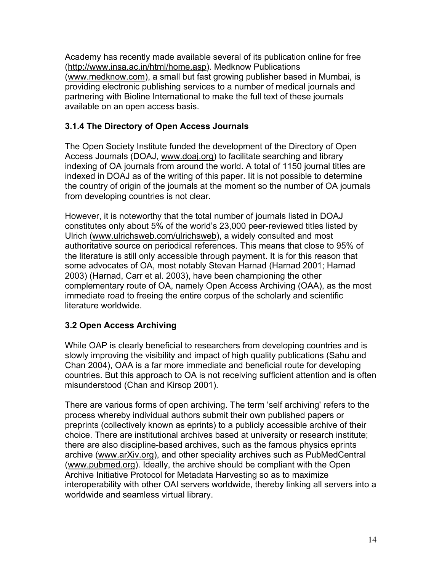Academy has recently made available several of its publication online for free (http://www.insa.ac.in/html/home.asp). Medknow Publications (www.medknow.com), a small but fast growing publisher based in Mumbai, is providing electronic publishing services to a number of medical journals and partnering with Bioline International to make the full text of these journals available on an open access basis.

### **3.1.4 The Directory of Open Access Journals**

The Open Society Institute funded the development of the Directory of Open Access Journals (DOAJ, www.doaj.org) to facilitate searching and library indexing of OA journals from around the world. A total of 1150 journal titles are indexed in DOAJ as of the writing of this paper. Iit is not possible to determine the country of origin of the journals at the moment so the number of OA journals from developing countries is not clear.

However, it is noteworthy that the total number of journals listed in DOAJ constitutes only about 5% of the world's 23,000 peer-reviewed titles listed by Ulrich (www.ulrichsweb.com/ulrichsweb), a widely consulted and most authoritative source on periodical references. This means that close to 95% of the literature is still only accessible through payment. It is for this reason that some advocates of OA, most notably Stevan Harnad (Harnad 2001; Harnad 2003) (Harnad, Carr et al. 2003), have been championing the other complementary route of OA, namely Open Access Archiving (OAA), as the most immediate road to freeing the entire corpus of the scholarly and scientific literature worldwide.

# **3.2 Open Access Archiving**

While OAP is clearly beneficial to researchers from developing countries and is slowly improving the visibility and impact of high quality publications (Sahu and Chan 2004), OAA is a far more immediate and beneficial route for developing countries. But this approach to OA is not receiving sufficient attention and is often misunderstood (Chan and Kirsop 2001).

There are various forms of open archiving. The term 'self archiving' refers to the process whereby individual authors submit their own published papers or preprints (collectively known as eprints) to a publicly accessible archive of their choice. There are institutional archives based at university or research institute; there are also discipline-based archives, such as the famous physics eprints archive (www.arXiv.org), and other speciality archives such as PubMedCentral (www.pubmed.org). Ideally, the archive should be compliant with the Open Archive Initiative Protocol for Metadata Harvesting so as to maximize interoperability with other OAI servers worldwide, thereby linking all servers into a worldwide and seamless virtual library.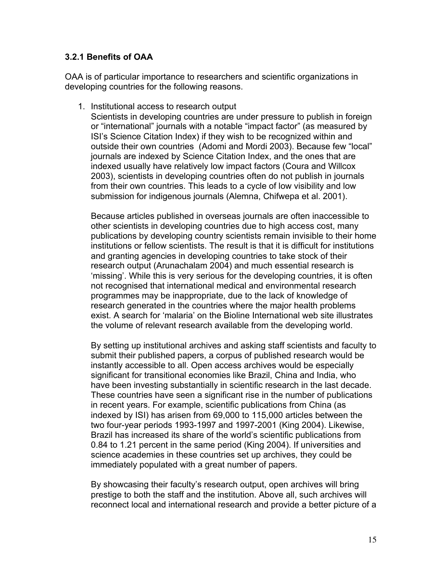### **3.2.1 Benefits of OAA**

OAA is of particular importance to researchers and scientific organizations in developing countries for the following reasons.

1. Institutional access to research output

Scientists in developing countries are under pressure to publish in foreign or "international" journals with a notable "impact factor" (as measured by ISI's Science Citation Index) if they wish to be recognized within and outside their own countries (Adomi and Mordi 2003). Because few "local" journals are indexed by Science Citation Index, and the ones that are indexed usually have relatively low impact factors (Coura and Willcox 2003), scientists in developing countries often do not publish in journals from their own countries. This leads to a cycle of low visibility and low submission for indigenous journals (Alemna, Chifwepa et al. 2001).

Because articles published in overseas journals are often inaccessible to other scientists in developing countries due to high access cost, many publications by developing country scientists remain invisible to their home institutions or fellow scientists. The result is that it is difficult for institutions and granting agencies in developing countries to take stock of their research output (Arunachalam 2004) and much essential research is 'missing'. While this is very serious for the developing countries, it is often not recognised that international medical and environmental research programmes may be inappropriate, due to the lack of knowledge of research generated in the countries where the major health problems exist. A search for 'malaria' on the Bioline International web site illustrates the volume of relevant research available from the developing world.

By setting up institutional archives and asking staff scientists and faculty to submit their published papers, a corpus of published research would be instantly accessible to all. Open access archives would be especially significant for transitional economies like Brazil, China and India, who have been investing substantially in scientific research in the last decade. These countries have seen a significant rise in the number of publications in recent years. For example, scientific publications from China (as indexed by ISI) has arisen from 69,000 to 115,000 articles between the two four-year periods 1993-1997 and 1997-2001 (King 2004). Likewise, Brazil has increased its share of the world's scientific publications from 0.84 to 1.21 percent in the same period (King 2004). If universities and science academies in these countries set up archives, they could be immediately populated with a great number of papers.

By showcasing their faculty's research output, open archives will bring prestige to both the staff and the institution. Above all, such archives will reconnect local and international research and provide a better picture of a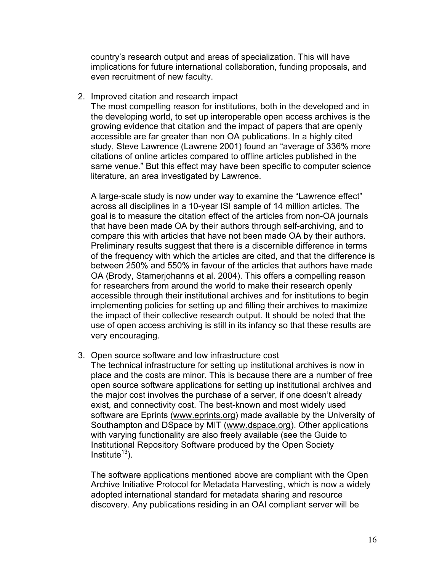country's research output and areas of specialization. This will have implications for future international collaboration, funding proposals, and even recruitment of new faculty.

2. Improved citation and research impact

The most compelling reason for institutions, both in the developed and in the developing world, to set up interoperable open access archives is the growing evidence that citation and the impact of papers that are openly accessible are far greater than non OA publications. In a highly cited study, Steve Lawrence (Lawrene 2001) found an "average of 336% more citations of online articles compared to offline articles published in the same venue." But this effect may have been specific to computer science literature, an area investigated by Lawrence.

A large-scale study is now under way to examine the "Lawrence effect" across all disciplines in a 10-year ISI sample of 14 million articles. The goal is to measure the citation effect of the articles from non-OA journals that have been made OA by their authors through self-archiving, and to compare this with articles that have not been made OA by their authors. Preliminary results suggest that there is a discernible difference in terms of the frequency with which the articles are cited, and that the difference is between 250% and 550% in favour of the articles that authors have made OA (Brody, Stamerjohanns et al. 2004). This offers a compelling reason for researchers from around the world to make their research openly accessible through their institutional archives and for institutions to begin implementing policies for setting up and filling their archives to maximize the impact of their collective research output. It should be noted that the use of open access archiving is still in its infancy so that these results are very encouraging.

3. Open source software and low infrastructure cost

The technical infrastructure for setting up institutional archives is now in place and the costs are minor. This is because there are a number of free open source software applications for setting up institutional archives and the major cost involves the purchase of a server, if one doesn't already exist, and connectivity cost. The best-known and most widely used software are Eprints (www.eprints.org) made available by the University of Southampton and DSpace by MIT (www.dspace.org). Other applications with varying functionality are also freely available (see the Guide to Institutional Repository Software produced by the Open Society Institute $^{13}$ ).

The software applications mentioned above are compliant with the Open Archive Initiative Protocol for Metadata Harvesting, which is now a widely adopted international standard for metadata sharing and resource discovery. Any publications residing in an OAI compliant server will be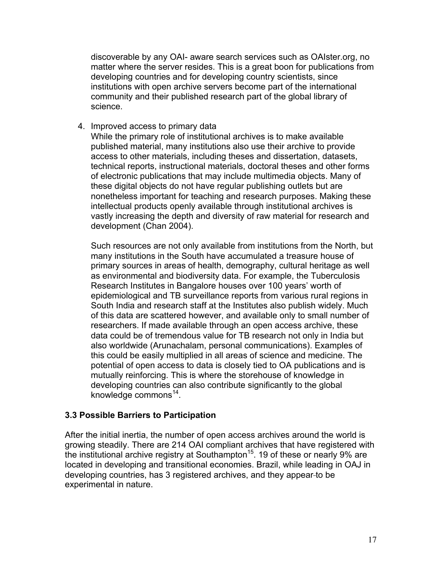discoverable by any OAI- aware search services such as OAIster.org, no matter where the server resides. This is a great boon for publications from developing countries and for developing country scientists, since institutions with open archive servers become part of the international community and their published research part of the global library of science.

#### 4. Improved access to primary data

While the primary role of institutional archives is to make available published material, many institutions also use their archive to provide access to other materials, including theses and dissertation, datasets, technical reports, instructional materials, doctoral theses and other forms of electronic publications that may include multimedia objects. Many of these digital objects do not have regular publishing outlets but are nonetheless important for teaching and research purposes. Making these intellectual products openly available through institutional archives is vastly increasing the depth and diversity of raw material for research and development (Chan 2004).

Such resources are not only available from institutions from the North, but many institutions in the South have accumulated a treasure house of primary sources in areas of health, demography, cultural heritage as well as environmental and biodiversity data. For example, the Tuberculosis Research Institutes in Bangalore houses over 100 years' worth of epidemiological and TB surveillance reports from various rural regions in South India and research staff at the Institutes also publish widely. Much of this data are scattered however, and available only to small number of researchers. If made available through an open access archive, these data could be of tremendous value for TB research not only in India but also worldwide (Arunachalam, personal communications). Examples of this could be easily multiplied in all areas of science and medicine. The potential of open access to data is closely tied to OA publications and is mutually reinforcing. This is where the storehouse of knowledge in developing countries can also contribute significantly to the global knowledge commons<sup>14</sup>.

#### **3.3 Possible Barriers to Participation**

After the initial inertia, the number of open access archives around the world is growing steadily. There are 214 OAI compliant archives that have registered with the institutional archive registry at Southampton<sup>15</sup>. 19 of these or nearly 9% are located in developing and transitional economies. Brazil, while leading in OAJ in developing countries, has 3 registered archives, and they appear to be experimental in nature.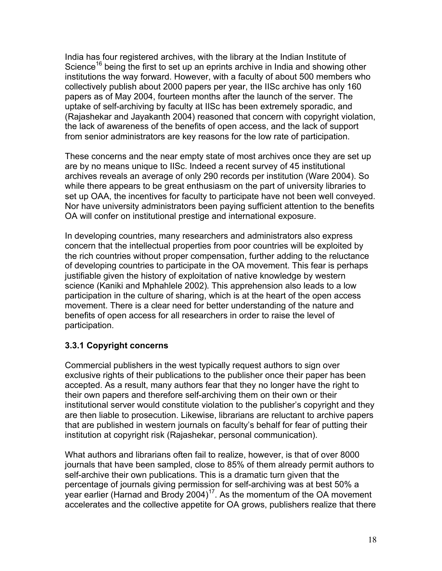India has four registered archives, with the library at the Indian Institute of Science<sup>16</sup> being the first to set up an eprints archive in India and showing other institutions the way forward. However, with a faculty of about 500 members who collectively publish about 2000 papers per year, the IISc archive has only 160 papers as of May 2004, fourteen months after the launch of the server. The uptake of self-archiving by faculty at IISc has been extremely sporadic, and (Rajashekar and Jayakanth 2004) reasoned that concern with copyright violation, the lack of awareness of the benefits of open access, and the lack of support from senior administrators are key reasons for the low rate of participation.

These concerns and the near empty state of most archives once they are set up are by no means unique to IISc. Indeed a recent survey of 45 institutional archives reveals an average of only 290 records per institution (Ware 2004). So while there appears to be great enthusiasm on the part of university libraries to set up OAA, the incentives for faculty to participate have not been well conveyed. Nor have university administrators been paying sufficient attention to the benefits OA will confer on institutional prestige and international exposure.

In developing countries, many researchers and administrators also express concern that the intellectual properties from poor countries will be exploited by the rich countries without proper compensation, further adding to the reluctance of developing countries to participate in the OA movement. This fear is perhaps justifiable given the history of exploitation of native knowledge by western science (Kaniki and Mphahlele 2002). This apprehension also leads to a low participation in the culture of sharing, which is at the heart of the open access movement. There is a clear need for better understanding of the nature and benefits of open access for all researchers in order to raise the level of participation.

# **3.3.1 Copyright concerns**

Commercial publishers in the west typically request authors to sign over exclusive rights of their publications to the publisher once their paper has been accepted. As a result, many authors fear that they no longer have the right to their own papers and therefore self-archiving them on their own or their institutional server would constitute violation to the publisher's copyright and they are then liable to prosecution. Likewise, librarians are reluctant to archive papers that are published in western journals on faculty's behalf for fear of putting their institution at copyright risk (Rajashekar, personal communication).

What authors and librarians often fail to realize, however, is that of over 8000 journals that have been sampled, close to 85% of them already permit authors to self-archive their own publications. This is a dramatic turn given that the percentage of journals giving permission for self-archiving was at best 50% a year earlier (Harnad and Brody 2004)<sup>17</sup>. As the momentum of the OA movement accelerates and the collective appetite for OA grows, publishers realize that there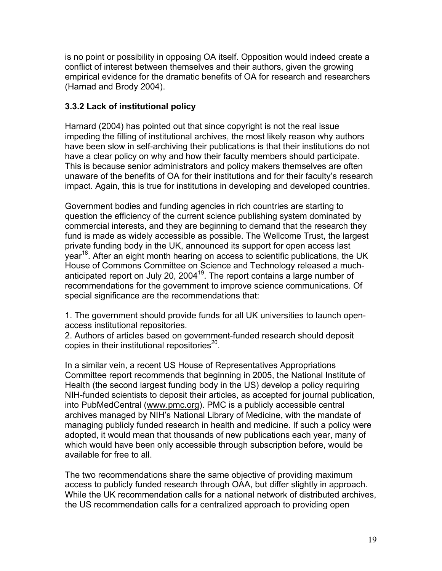is no point or possibility in opposing OA itself. Opposition would indeed create a conflict of interest between themselves and their authors, given the growing empirical evidence for the dramatic benefits of OA for research and researchers (Harnad and Brody 2004).

### **3.3.2 Lack of institutional policy**

Harnard (2004) has pointed out that since copyright is not the real issue impeding the filling of institutional archives, the most likely reason why authors have been slow in self-archiving their publications is that their institutions do not have a clear policy on why and how their faculty members should participate. This is because senior administrators and policy makers themselves are often unaware of the benefits of OA for their institutions and for their faculty's research impact. Again, this is true for institutions in developing and developed countries.

Government bodies and funding agencies in rich countries are starting to question the efficiency of the current science publishing system dominated by commercial interests, and they are beginning to demand that the research they fund is made as widely accessible as possible. The Wellcome Trust, the largest private funding body in the UK, announced its-support for open access last year<sup>18</sup>. After an eight month hearing on access to scientific publications, the UK House of Commons Committee on Science and Technology released a muchanticipated report on July 20, 2004<sup>19</sup>. The report contains a large number of recommendations for the government to improve science communications. Of special significance are the recommendations that:

1. The government should provide funds for all UK universities to launch openaccess institutional repositories.

2. Authors of articles based on government-funded research should deposit copies in their institutional repositories $^{20}$ .

In a similar vein, a recent US House of Representatives Appropriations Committee report recommends that beginning in 2005, the National Institute of Health (the second largest funding body in the US) develop a policy requiring NIH-funded scientists to deposit their articles, as accepted for journal publication, into PubMedCentral (www.pmc.org). PMC is a publicly accessible central archives managed by NIH's National Library of Medicine, with the mandate of managing publicly funded research in health and medicine. If such a policy were adopted, it would mean that thousands of new publications each year, many of which would have been only accessible through subscription before, would be available for free to all.

The two recommendations share the same objective of providing maximum access to publicly funded research through OAA, but differ slightly in approach. While the UK recommendation calls for a national network of distributed archives, the US recommendation calls for a centralized approach to providing open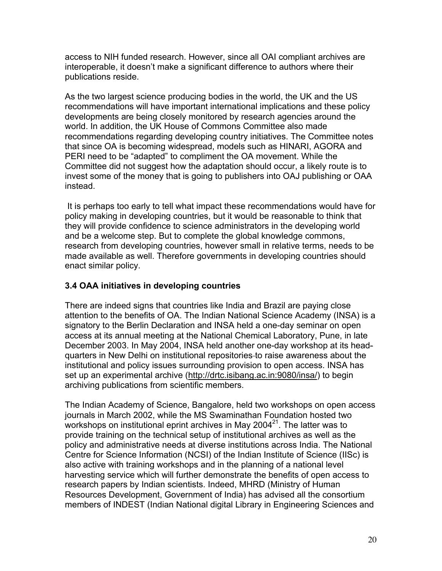access to NIH funded research. However, since all OAI compliant archives are interoperable, it doesn't make a significant difference to authors where their publications reside.

As the two largest science producing bodies in the world, the UK and the US recommendations will have important international implications and these policy developments are being closely monitored by research agencies around the world. In addition, the UK House of Commons Committee also made recommendations regarding developing country initiatives. The Committee notes that since OA is becoming widespread, models such as HINARI, AGORA and PERI need to be "adapted" to compliment the OA movement. While the Committee did not suggest how the adaptation should occur, a likely route is to invest some of the money that is going to publishers into OAJ publishing or OAA instead.

 It is perhaps too early to tell what impact these recommendations would have for policy making in developing countries, but it would be reasonable to think that they will provide confidence to science administrators in the developing world and be a welcome step. But to complete the global knowledge commons, research from developing countries, however small in relative terms, needs to be made available as well. Therefore governments in developing countries should enact similar policy.

### **3.4 OAA initiatives in developing countries**

There are indeed signs that countries like India and Brazil are paying close attention to the benefits of OA. The Indian National Science Academy (INSA) is a signatory to the Berlin Declaration and INSA held a one-day seminar on open access at its annual meeting at the National Chemical Laboratory, Pune, in late December 2003. In May 2004, INSA held another one-day workshop at its headquarters in New Delhi on institutional repositories to raise awareness about the institutional and policy issues surrounding provision to open access. INSA has set up an experimental archive (http://drtc.isibang.ac.in:9080/insa/) to begin archiving publications from scientific members.

The Indian Academy of Science, Bangalore, held two workshops on open access journals in March 2002, while the MS Swaminathan Foundation hosted two workshops on institutional eprint archives in May 2004 $^{21}$ . The latter was to provide training on the technical setup of institutional archives as well as the policy and administrative needs at diverse institutions across India. The National Centre for Science Information (NCSI) of the Indian Institute of Science (IISc) is also active with training workshops and in the planning of a national level harvesting service which will further demonstrate the benefits of open access to research papers by Indian scientists. Indeed, MHRD (Ministry of Human Resources Development, Government of India) has advised all the consortium members of INDEST (Indian National digital Library in Engineering Sciences and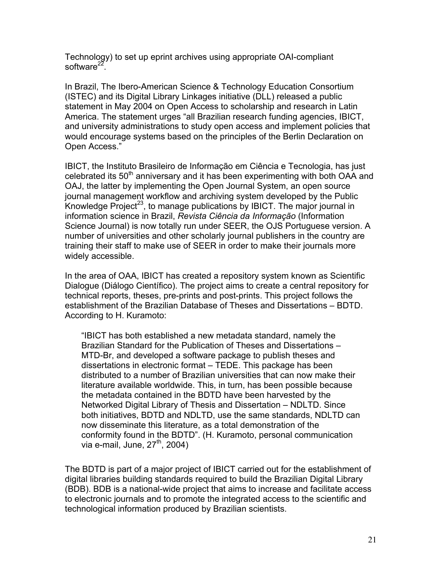Technology) to set up eprint archives using appropriate OAI-compliant software<sup>22</sup>.

In Brazil, The Ibero-American Science & Technology Education Consortium (ISTEC) and its Digital Library Linkages initiative (DLL) released a public statement in May 2004 on Open Access to scholarship and research in Latin America. The statement urges "all Brazilian research funding agencies, IBICT, and university administrations to study open access and implement policies that would encourage systems based on the principles of the Berlin Declaration on Open Access."

IBICT, the Instituto Brasileiro de Informação em Ciência e Tecnologia, has just celebrated its  $50<sup>th</sup>$  anniversary and it has been experimenting with both OAA and OAJ, the latter by implementing the Open Journal System, an open source journal management workflow and archiving system developed by the Public Knowledge Project<sup>23</sup>, to manage publications by IBICT. The major journal in information science in Brazil, *Revista Ciência da Informação* (Information Science Journal) is now totally run under SEER, the OJS Portuguese version. A number of universities and other scholarly journal publishers in the country are training their staff to make use of SEER in order to make their journals more widely accessible.

In the area of OAA, IBICT has created a repository system known as Scientific Dialogue (Diálogo Científico). The project aims to create a central repository for technical reports, theses, pre-prints and post-prints. This project follows the establishment of the Brazilian Database of Theses and Dissertations – BDTD. According to H. Kuramoto:

"IBICT has both established a new metadata standard, namely the Brazilian Standard for the Publication of Theses and Dissertations – MTD-Br, and developed a software package to publish theses and dissertations in electronic format – TEDE. This package has been distributed to a number of Brazilian universities that can now make their literature available worldwide. This, in turn, has been possible because the metadata contained in the BDTD have been harvested by the Networked Digital Library of Thesis and Dissertation – NDLTD. Since both initiatives, BDTD and NDLTD, use the same standards, NDLTD can now disseminate this literature, as a total demonstration of the conformity found in the BDTD". (H. Kuramoto, personal communication via e-mail, June,  $27<sup>th</sup>$ , 2004)

The BDTD is part of a major project of IBICT carried out for the establishment of digital libraries building standards required to build the Brazilian Digital Library (BDB). BDB is a national-wide project that aims to increase and facilitate access to electronic journals and to promote the integrated access to the scientific and technological information produced by Brazilian scientists.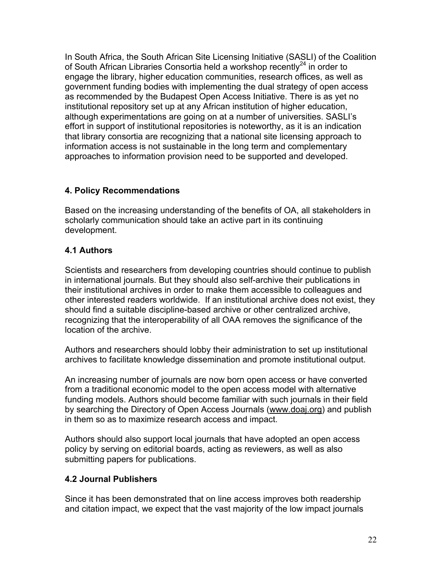In South Africa, the South African Site Licensing Initiative (SASLI) of the Coalition of South African Libraries Consortia held a workshop recently<sup>24</sup> in order to engage the library, higher education communities, research offices, as well as government funding bodies with implementing the dual strategy of open access as recommended by the Budapest Open Access Initiative. There is as yet no institutional repository set up at any African institution of higher education, although experimentations are going on at a number of universities. SASLI's effort in support of institutional repositories is noteworthy, as it is an indication that library consortia are recognizing that a national site licensing approach to information access is not sustainable in the long term and complementary approaches to information provision need to be supported and developed.

### **4. Policy Recommendations**

Based on the increasing understanding of the benefits of OA, all stakeholders in scholarly communication should take an active part in its continuing development.

## **4.1 Authors**

Scientists and researchers from developing countries should continue to publish in international journals. But they should also self-archive their publications in their institutional archives in order to make them accessible to colleagues and other interested readers worldwide. If an institutional archive does not exist, they should find a suitable discipline-based archive or other centralized archive, recognizing that the interoperability of all OAA removes the significance of the location of the archive.

Authors and researchers should lobby their administration to set up institutional archives to facilitate knowledge dissemination and promote institutional output.

An increasing number of journals are now born open access or have converted from a traditional economic model to the open access model with alternative funding models. Authors should become familiar with such journals in their field by searching the Directory of Open Access Journals (www.doaj.org) and publish in them so as to maximize research access and impact.

Authors should also support local journals that have adopted an open access policy by serving on editorial boards, acting as reviewers, as well as also submitting papers for publications.

### **4.2 Journal Publishers**

Since it has been demonstrated that on line access improves both readership and citation impact, we expect that the vast majority of the low impact journals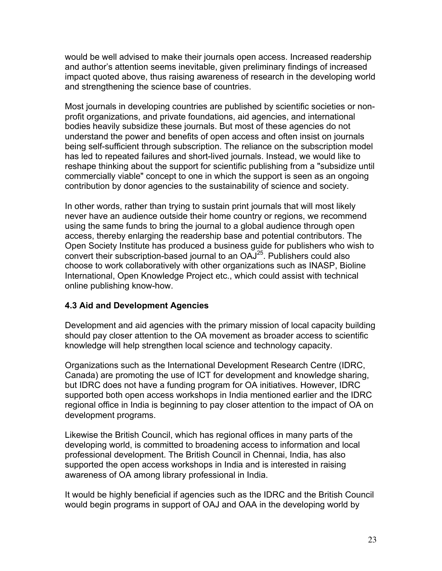would be well advised to make their journals open access. Increased readership and author's attention seems inevitable, given preliminary findings of increased impact quoted above, thus raising awareness of research in the developing world and strengthening the science base of countries.

Most journals in developing countries are published by scientific societies or nonprofit organizations, and private foundations, aid agencies, and international bodies heavily subsidize these journals. But most of these agencies do not understand the power and benefits of open access and often insist on journals being self-sufficient through subscription. The reliance on the subscription model has led to repeated failures and short-lived journals. Instead, we would like to reshape thinking about the support for scientific publishing from a "subsidize until commercially viable" concept to one in which the support is seen as an ongoing contribution by donor agencies to the sustainability of science and society.

In other words, rather than trying to sustain print journals that will most likely never have an audience outside their home country or regions, we recommend using the same funds to bring the journal to a global audience through open access, thereby enlarging the readership base and potential contributors. The Open Society Institute has produced a business guide for publishers who wish to convert their subscription-based journal to an OAJ<sup>25</sup>. Publishers could also choose to work collaboratively with other organizations such as INASP, Bioline International, Open Knowledge Project etc., which could assist with technical online publishing know-how.

### **4.3 Aid and Development Agencies**

Development and aid agencies with the primary mission of local capacity building should pay closer attention to the OA movement as broader access to scientific knowledge will help strengthen local science and technology capacity.

Organizations such as the International Development Research Centre (IDRC, Canada) are promoting the use of ICT for development and knowledge sharing, but IDRC does not have a funding program for OA initiatives. However, IDRC supported both open access workshops in India mentioned earlier and the IDRC regional office in India is beginning to pay closer attention to the impact of OA on development programs.

Likewise the British Council, which has regional offices in many parts of the developing world, is committed to broadening access to information and local professional development. The British Council in Chennai, India, has also supported the open access workshops in India and is interested in raising awareness of OA among library professional in India.

It would be highly beneficial if agencies such as the IDRC and the British Council would begin programs in support of OAJ and OAA in the developing world by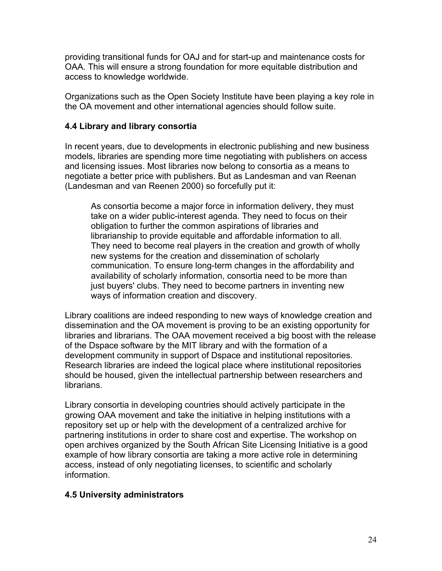providing transitional funds for OAJ and for start-up and maintenance costs for OAA. This will ensure a strong foundation for more equitable distribution and access to knowledge worldwide.

Organizations such as the Open Society Institute have been playing a key role in the OA movement and other international agencies should follow suite.

### **4.4 Library and library consortia**

In recent years, due to developments in electronic publishing and new business models, libraries are spending more time negotiating with publishers on access and licensing issues. Most libraries now belong to consortia as a means to negotiate a better price with publishers. But as Landesman and van Reenan (Landesman and van Reenen 2000) so forcefully put it:

As consortia become a major force in information delivery, they must take on a wider public-interest agenda. They need to focus on their obligation to further the common aspirations of libraries and librarianship to provide equitable and affordable information to all. They need to become real players in the creation and growth of wholly new systems for the creation and dissemination of scholarly communication. To ensure long-term changes in the affordability and availability of scholarly information, consortia need to be more than just buyers' clubs. They need to become partners in inventing new ways of information creation and discovery.

Library coalitions are indeed responding to new ways of knowledge creation and dissemination and the OA movement is proving to be an existing opportunity for libraries and librarians. The OAA movement received a big boost with the release of the Dspace software by the MIT library and with the formation of a development community in support of Dspace and institutional repositories. Research libraries are indeed the logical place where institutional repositories should be housed, given the intellectual partnership between researchers and librarians.

Library consortia in developing countries should actively participate in the growing OAA movement and take the initiative in helping institutions with a repository set up or help with the development of a centralized archive for partnering institutions in order to share cost and expertise. The workshop on open archives organized by the South African Site Licensing Initiative is a good example of how library consortia are taking a more active role in determining access, instead of only negotiating licenses, to scientific and scholarly information.

#### **4.5 University administrators**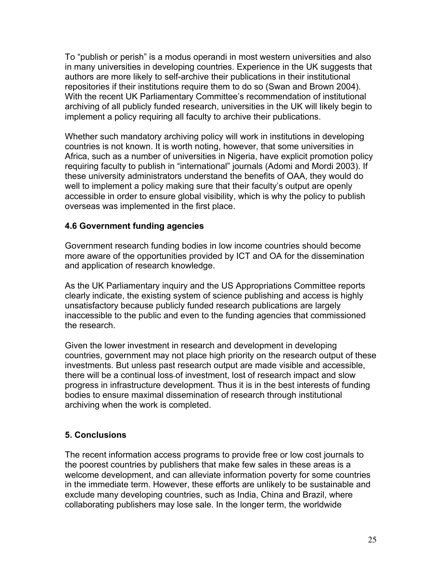To "publish or perish" is a modus operandi in most western universities and also in many universities in developing countries. Experience in the UK suggests that authors are more likely to self-archive their publications in their institutional repositories if their institutions require them to do so (Swan and Brown 2004). With the recent UK Parliamentary Committee's recommendation of institutional archiving of all publicly funded research, universities in the UK will likely begin to implement a policy requiring all faculty to archive their publications.

Whether such mandatory archiving policy will work in institutions in developing countries is not known. It is worth noting, however, that some universities in Africa, such as a number of universities in Nigeria, have explicit promotion policy requiring faculty to publish in "international" journals (Adomi and Mordi 2003). If these university administrators understand the benefits of OAA, they would do well to implement a policy making sure that their faculty's output are openly accessible in order to ensure global visibility, which is why the policy to publish overseas was implemented in the first place.

#### **4.6 Government funding agencies**

Government research funding bodies in low income countries should become more aware of the opportunities provided by ICT and OA for the dissemination and application of research knowledge.

As the UK Parliamentary inquiry and the US Appropriations Committee reports clearly indicate, the existing system of science publishing and access is highly unsatisfactory because publicly funded research publications are largely inaccessible to the public and even to the funding agencies that commissioned the research.

Given the lower investment in research and development in developing countries, government may not place high priority on the research output of these investments. But unless past research output are made visible and accessible, there will be a continual loss of investment, lost of research impact and slow progress in infrastructure development. Thus it is in the best interests of funding bodies to ensure maximal dissemination of research through institutional archiving when the work is completed.

### **5. Conclusions**

The recent information access programs to provide free or low cost journals to the poorest countries by publishers that make few sales in these areas is a welcome development, and can alleviate information poverty for some countries in the immediate term. However, these efforts are unlikely to be sustainable and exclude many developing countries, such as India, China and Brazil, where collaborating publishers may lose sale. In the longer term, the worldwide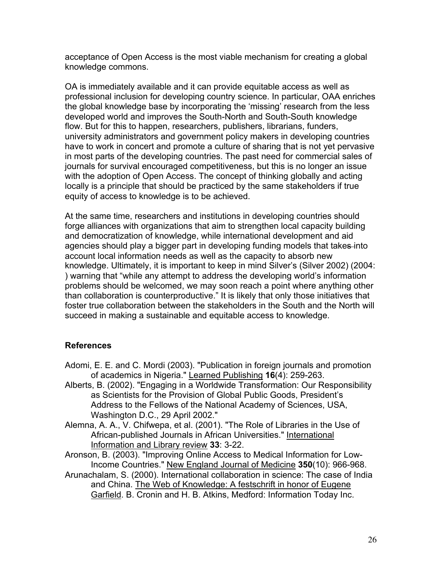acceptance of Open Access is the most viable mechanism for creating a global knowledge commons.

OA is immediately available and it can provide equitable access as well as professional inclusion for developing country science. In particular, OAA enriches the global knowledge base by incorporating the 'missing' research from the less developed world and improves the South-North and South-South knowledge flow. But for this to happen, researchers, publishers, librarians, funders, university administrators and government policy makers in developing countries have to work in concert and promote a culture of sharing that is not yet pervasive in most parts of the developing countries. The past need for commercial sales of journals for survival encouraged competitiveness, but this is no longer an issue with the adoption of Open Access. The concept of thinking globally and acting locally is a principle that should be practiced by the same stakeholders if true equity of access to knowledge is to be achieved.

At the same time, researchers and institutions in developing countries should forge alliances with organizations that aim to strengthen local capacity building and democratization of knowledge, while international development and aid agencies should play a bigger part in developing funding models that takes-into account local information needs as well as the capacity to absorb new knowledge. Ultimately, it is important to keep in mind Silver's (Silver 2002) (2004: ) warning that "while any attempt to address the developing world's information problems should be welcomed, we may soon reach a point where anything other than collaboration is counterproductive." It is likely that only those initiatives that foster true collaboration between the stakeholders in the South and the North will succeed in making a sustainable and equitable access to knowledge.

### **References**

- Adomi, E. E. and C. Mordi (2003). "Publication in foreign journals and promotion of academics in Nigeria." Learned Publishing **16**(4): 259-263.
- Alberts, B. (2002). "Engaging in a Worldwide Transformation: Our Responsibility as Scientists for the Provision of Global Public Goods, President's Address to the Fellows of the National Academy of Sciences, USA, Washington D.C., 29 April 2002."
- Alemna, A. A., V. Chifwepa, et al. (2001). "The Role of Libraries in the Use of African-published Journals in African Universities." International Information and Library review **33**: 3-22.
- Aronson, B. (2003). "Improving Online Access to Medical Information for Low-Income Countries." New England Journal of Medicine **350**(10): 966-968.
- Arunachalam, S. (2000). International collaboration in science: The case of India and China. The Web of Knowledge: A festschrift in honor of Eugene Garfield. B. Cronin and H. B. Atkins, Medford: Information Today Inc.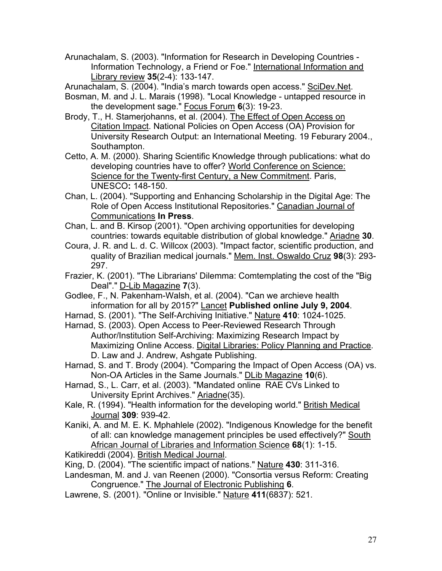Arunachalam, S. (2003). "Information for Research in Developing Countries - Information Technology, a Friend or Foe." International Information and Library review **35**(2-4): 133-147.

Arunachalam, S. (2004). "India's march towards open access." SciDev.Net.

- Bosman, M. and J. L. Marais (1998). "Local Knowledge untapped resource in the development sage." Focus Forum **6**(3): 19-23.
- Brody, T., H. Stamerjohanns, et al. (2004). The Effect of Open Access on Citation Impact. National Policies on Open Access (OA) Provision for University Research Output: an International Meeting. 19 Feburary 2004., Southampton.
- Cetto, A. M. (2000). Sharing Scientific Knowledge through publications: what do developing countries have to offer? World Conference on Science: Science for the Twenty-first Century, a New Commitment. Paris, UNESCO**:** 148-150.
- Chan, L. (2004). "Supporting and Enhancing Scholarship in the Digital Age: The Role of Open Access Institutional Repositories." Canadian Journal of Communications **In Press**.
- Chan, L. and B. Kirsop (2001). "Open archiving opportunities for developing countries: towards equitable distribution of global knowledge." Ariadne **30**.
- Coura, J. R. and L. d. C. Willcox (2003). "Impact factor, scientific production, and quality of Brazilian medical journals." Mem. Inst. Oswaldo Cruz **98**(3): 293- 297.
- Frazier, K. (2001). "The Librarians' Dilemma: Comtemplating the cost of the "Big Deal"." D-Lib Magazine **7**(3).
- Godlee, F., N. Pakenham-Walsh, et al. (2004). "Can we archieve health information for all by 2015?" Lancet **Published online July 9, 2004**.
- Harnad, S. (2001). "The Self-Archiving Initiative." Nature **410**: 1024-1025.
- Harnad, S. (2003). Open Access to Peer-Reviewed Research Through Author/Institution Self-Archiving: Maximizing Research Impact by Maximizing Online Access. Digital Libraries: Policy Planning and Practice. D. Law and J. Andrew, Ashgate Publishing.
- Harnad, S. and T. Brody (2004). "Comparing the Impact of Open Access (OA) vs. Non-OA Articles in the Same Journals." DLib Magazine **10**(6).
- Harnad, S., L. Carr, et al. (2003). "Mandated online RAE CVs Linked to University Eprint Archives." Ariadne(35).
- Kale, R. (1994). "Health information for the developing world." British Medical Journal **309**: 939-42.
- Kaniki, A. and M. E. K. Mphahlele (2002). "Indigenous Knowledge for the benefit of all: can knowledge management principles be used effectively?" South African Journal of Libraries and Information Science **68**(1): 1-15.

Katikireddi (2004). British Medical Journal.

King, D. (2004). "The scientific impact of nations." Nature **430**: 311-316.

- Landesman, M. and J. van Reenen (2000). "Consortia versus Reform: Creating Congruence." The Journal of Electronic Publishing **6**.
- Lawrene, S. (2001). "Online or Invisible." Nature **411**(6837): 521.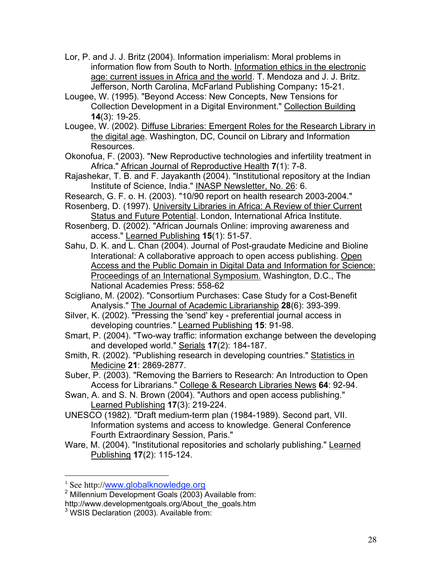Lor, P. and J. J. Britz (2004). Information imperialism: Moral problems in information flow from South to North. Information ethics in the electronic age: current issues in Africa and the world. T. Mendoza and J. J. Britz. Jefferson, North Carolina, McFarland Publishing Company**:** 15-21.

Lougee, W. (1995). "Beyond Access: New Concepts, New Tensions for Collection Development in a Digital Environment." Collection Building **14**(3): 19-25.

Lougee, W. (2002). Diffuse Libraries: Emergent Roles for the Research Library in the digital age. Washington, DC, Council on Library and Information Resources.

Okonofua, F. (2003). "New Reproductive technologies and infertility treatment in Africa." African Journal of Reproductive Health **7**(1): 7-8.

Rajashekar, T. B. and F. Jayakanth (2004). "Institutional repository at the Indian Institute of Science, India." INASP Newsletter, No. 26: 6.

Research, G. F. o. H. (2003). "10/90 report on health research 2003-2004."

- Rosenberg, D. (1997). University Libraries in Africa: A Review of thier Current Status and Future Potential. London, International Africa Institute.
- Rosenberg, D. (2002). "African Journals Online: improving awareness and access." Learned Publishing **15**(1): 51-57.
- Sahu, D. K. and L. Chan (2004). Journal of Post-graudate Medicine and Bioline Interational: A collaborative approach to open access publishing. Open Access and the Public Domain in Digital Data and Information for Science: Proceedings of an International Symposium. Washington, D.C., The National Academies Press: 558-62
- Scigliano, M. (2002). "Consortium Purchases: Case Study for a Cost-Benefit Analysis." The Journal of Academic Librarianship **28**(6): 393-399.
- Silver, K. (2002). "Pressing the 'send' key preferential journal access in developing countries." Learned Publishing **15**: 91-98.
- Smart, P. (2004). "Two-way traffic: information exchange between the developing and developed world." Serials **17**(2): 184-187.
- Smith, R. (2002). "Publishing research in developing countries." Statistics in Medicine **21**: 2869-2877.
- Suber, P. (2003). "Removing the Barriers to Research: An Introduction to Open Access for Librarians." College & Research Libraries News **64**: 92-94.
- Swan, A. and S. N. Brown (2004). "Authors and open access publishing." Learned Publishing **17**(3): 219-224.
- UNESCO (1982). "Draft medium-term plan (1984-1989). Second part, VII. Information systems and access to knowledge. General Conference Fourth Extraordinary Session, Paris."
- Ware, M. (2004). "Institutional repositories and scholarly publishing." Learned Publishing **17**(2): 115-124.

<sup>|&</sup>lt;br>|<br>| <sup>1</sup> See http://www.globalknowledge.org

<sup>&</sup>lt;sup>2</sup> Millennium Development Goals (2003) Available from:

http://www.developmentgoals.org/About\_the\_goals.htm

<sup>&</sup>lt;sup>3</sup> WSIS Declaration (2003). Available from: